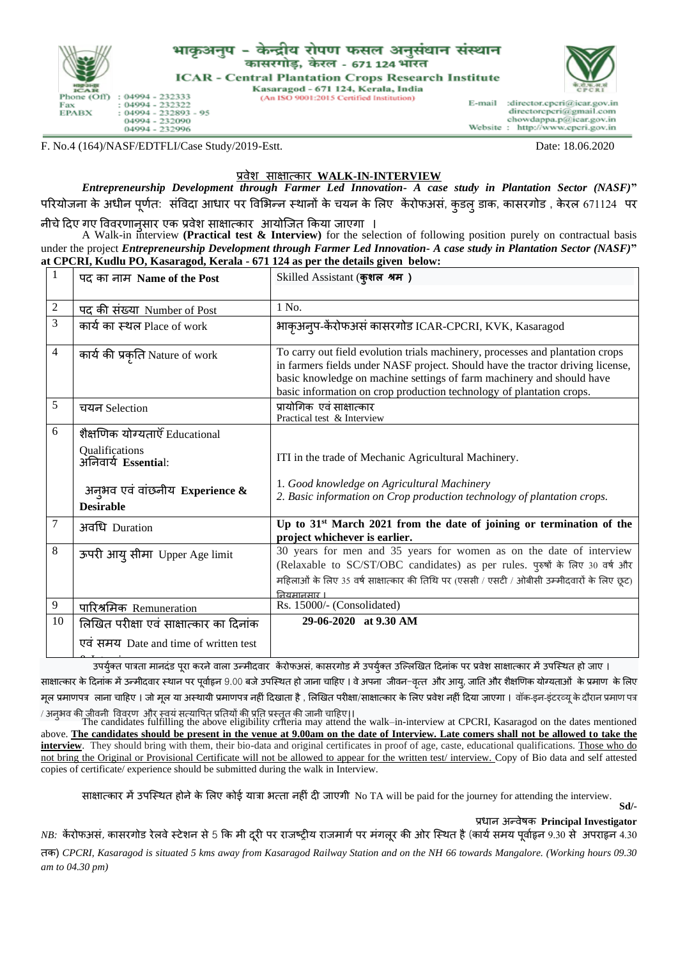

## भाकअनप -केन्द्रीय रोपण फसल अनुसंधान संस्थान कासरगोड, केरल - 671 124 भारत

**ICAR - Central Plantation Crops Research Institute** Kasaragod - 671 124, Kerala, India

(An ISO 9001:2015 Certified Institution)



E-mail :director.cpcri@icar.gov.in directorcpcri@gmail.com chowdappa.p@icar.gov.in<br>: http://www.cpcri.gov.in Website ÷

F. No.4 (164)/NASF/EDTFLI/Case Study/2019-Estt. Date: 18.06.2020

## प्रवेश साक्षात्कार **WALK-IN-INTERVIEW**

*Entrepreneurship Development through Farmer Led Innovation- A case study in Plantation Sector (NASF)***"**  परियोजना के अधीन पूर्णत: संविदा आधार पर विभिन्न स्थानों के चयन के लिए केंरोफअसं, कुडल डाक, कासरगोड , केरल 671124 पर

नीचे दिए गए विवरणानुसार एक प्रवेश साक्षात्कार आयोजित किया जाएगा ।

A Walk-in interview **(Practical test & Interview)** for the selection of following position purely on contractual basis under the project *Entrepreneurship Development through Farmer Led Innovation- A case study in Plantation Sector (NASF)***" at CPCRI, Kudlu PO, Kasaragod, Kerala - 671 124 as per the details given below:**

| 1              | पद का नाम Name of the Post                                                                                                                    | Skilled Assistant (कुशल श्रम)                                                                                                                                                                                                                                                                                    |  |  |  |  |
|----------------|-----------------------------------------------------------------------------------------------------------------------------------------------|------------------------------------------------------------------------------------------------------------------------------------------------------------------------------------------------------------------------------------------------------------------------------------------------------------------|--|--|--|--|
| $\overline{c}$ | <u>पद की संख्या Number of Post</u>                                                                                                            | 1 No.                                                                                                                                                                                                                                                                                                            |  |  |  |  |
| 3              | कार्य का स्थल Place of work                                                                                                                   | भाकृअन्प-केंरोफअसं कासरगोड ICAR-CPCRI, KVK, Kasaragod                                                                                                                                                                                                                                                            |  |  |  |  |
| $\overline{4}$ | कार्य की प्रकृति Nature of work                                                                                                               | To carry out field evolution trials machinery, processes and plantation crops<br>in farmers fields under NASF project. Should have the tractor driving license,<br>basic knowledge on machine settings of farm machinery and should have<br>basic information on crop production technology of plantation crops. |  |  |  |  |
| 5              | चयन Selection                                                                                                                                 | प्रायोगिक  एवं साक्षात्कार<br>Practical test & Interview                                                                                                                                                                                                                                                         |  |  |  |  |
| 6              | शैक्षणिक योग्यताएँ Educational<br>Qualifications<br>अनिवार्य Essential:<br>अन्भव एवं वांछनीय Experience $\&$                                  | ITI in the trade of Mechanic Agricultural Machinery.<br>1. Good knowledge on Agricultural Machinery<br>2. Basic information on Crop production technology of plantation crops.                                                                                                                                   |  |  |  |  |
|                | <b>Desirable</b>                                                                                                                              |                                                                                                                                                                                                                                                                                                                  |  |  |  |  |
| 7              | अवधि Duration                                                                                                                                 | Up to 31 <sup>st</sup> March 2021 from the date of joining or termination of the<br>project whichever is earlier.                                                                                                                                                                                                |  |  |  |  |
| 8              | ऊपरी आयु सीमा Upper Age limit                                                                                                                 | 30 years for men and 35 years for women as on the date of interview<br>(Relaxable to SC/ST/OBC candidates) as per rules. पुरुषों के लिए 30 वर्ष और<br>महिलाओं के लिए 35 वर्ष साक्षात्कार की तिथि पर (एससी / एसटी / ओबीसी उम्मीदवारों के लिए छूट)<br>नियमानमार ।                                                  |  |  |  |  |
| 9              | पारिश्रमिक Remuneration                                                                                                                       | Rs. 15000/- (Consolidated)                                                                                                                                                                                                                                                                                       |  |  |  |  |
| 10             | लिखित परीक्षा एवं साक्षात्कार का दिनांक<br>एवं समय Date and time of written test                                                              | 29-06-2020 at 9.30 AM                                                                                                                                                                                                                                                                                            |  |  |  |  |
|                | उपर्युक्त पात्रता मानदंड पूरा करने वाला उन्मीदवार  केरोफअसं, कासरगोड में उपर्युक्त उल्लिखित दिनांक पर प्रवेश साक्षात्कार में उपस्थित हो जाए । |                                                                                                                                                                                                                                                                                                                  |  |  |  |  |

साक्षात्कार के दिनांक में उन्मीदवार स्थान पर पर्वाहन 9.00 बजे उपस्थित हो जाना चाहिए । वे अपना जीवन-वत्त और आय, जाति और शैक्षणिक योग्यताओं के प्रमाण के लिए मूल प्रमाणपत्र लाना चाहिए । जो मूल या अस्थायी प्रमाणपत्र नहीं दिखाता है , लिखित परीक्षा/साक्षात्कार के लिए प्रवेश नहीं दिया जाएगा । वॉक-इन-इंटरव्यू के दौरान प्रमाण पत्र

/ अनुिव की जीवनीवववरर् और स्वयंसत्यावपत प्रततयों की प्रतत प्रस्तुत की जानी चादिए।। The candidates fulfilling the above eligibility criteria may attend the walk–in-interview at CPCRI, Kasaragod on the dates mentioned above. **The candidates should be present in the venue at 9.00am on the date of Interview. Late comers shall not be allowed to take the interview**. They should bring with them, their bio-data and original certificates in proof of age, caste, educational qualifications. Those who do not bring the Original or Provisional Certificate will not be allowed to appear for the written test/ interview. Copy of Bio data and self attested copies of certificate/ experience should be submitted during the walk in Interview.

साक्षात्कार में उपस्थित होने के लिए कोई यात्रा भत्ता नहीं दी जाएगी No TA will be paid for the journey for attending the interview.

**Sd/-**

प्रधान अन्वेषक **Principal Investigator**

*NB: केरोफअसं,* कासरगोड रेलवे स्टेशन से 5 कि मी दरी पर राजष्टीय राजमार्ग पर मंगलर की ओर स्थित है (कार्य समय पर्वाहृन 9.30 से अपराहृन 4.30

तक) *CPCRI, Kasaragod is situated 5 kms away from Kasaragod Railway Station and on the NH 66 towards Mangalore. (Working hours 09.30 am to 04.30 pm)*